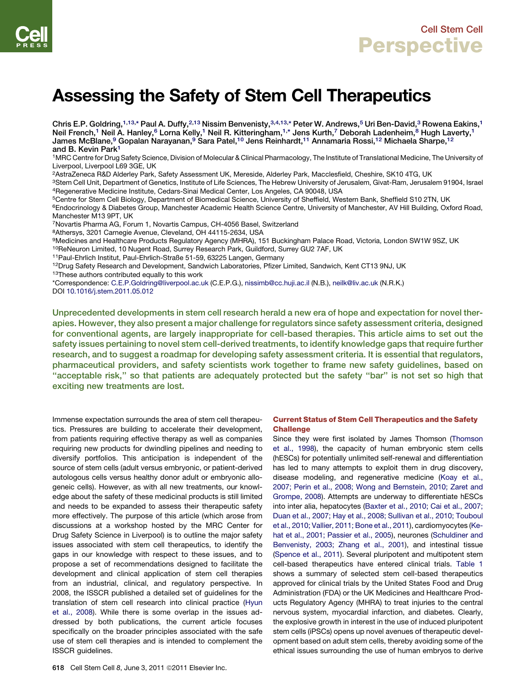# Assessing the Safety of Stem Cell Therapeutics

Chris E.P. Goldring,<sup>1,13,\*</sup> Paul A. Duffy,<sup>2,13</sup> Nissim Benvenisty,<sup>3,4,13,\*</sup> Peter W. Andrews,<sup>5</sup> Uri Ben-David,<sup>3</sup> Rowena Eakins,<sup>1</sup> Neil French,<sup>1</sup> Neil A. Hanley,<sup>6</sup> Lorna Kelly,<sup>1</sup> Neil R. Kitteringham,<sup>1,\*</sup> Jens Kurth,<sup>7</sup> Deborah Ladenheim,<sup>8</sup> Hugh Laverty,<sup>1</sup> James McBlane,9 Gopalan Narayanan,<sup>9</sup> Sara Patel,<sup>10</sup> Jens Reinhardt,<sup>11</sup> Annamaria Rossi,<sup>12</sup> Michaela Sharpe,<sup>12</sup> and B. Kevin Park<sup>1</sup>

1MRC Centre for Drug Safety Science, Division of Molecular & Clinical Pharmacology, The Institute of Translational Medicine, The University of Liverpool, Liverpool L69 3GE, UK

2AstraZeneca R&D Alderley Park, Safety Assessment UK, Mereside, Alderley Park, Macclesfield, Cheshire, SK10 4TG, UK

3Stem Cell Unit, Department of Genetics, Institute of Life Sciences, The Hebrew University of Jerusalem, Givat-Ram, Jerusalem 91904, Israel 4Regenerative Medicine Institute, Cedars-Sinai Medical Center, Los Angeles, CA 90048, USA

5Centre for Stem Cell Biology, Department of Biomedical Science, University of Sheffield, Western Bank, Sheffield S10 2TN, UK <sup>6</sup>Endocrinology & Diabetes Group, Manchester Academic Health Science Centre, University of Manchester, AV Hill Building, Oxford Road,

Manchester M13 9PT, UK 7Novartis Pharma AG, Forum 1, Novartis Campus, CH-4056 Basel, Switzerland

8Athersys, 3201 Carnegie Avenue, Cleveland, OH 44115-2634, USA

9Medicines and Healthcare Products Regulatory Agency (MHRA), 151 Buckingham Palace Road, Victoria, London SW1W 9SZ, UK

<sup>10</sup>ReNeuron Limited, 10 Nugent Road, Surrey Research Park, Guildford, Surrey GU2 7AF, UK

11Paul-Ehrlich Institut, Paul-Ehrlich-Straße 51-59, 63225 Langen, Germany

<sup>12</sup>Drug Safety Research and Development, Sandwich Laboratories, Pfizer Limited, Sandwich, Kent CT13 9NJ, UK 13These authors contributed equally to this work

\*Correspondence: [C.E.P.Goldring@liverpool.ac.uk](mailto:C.E.P.Goldring@liverpool.ac.uk) (C.E.P.G.), [nissimb@cc.huji.ac.il](mailto:nissimb@cc.huji.ac.il) (N.B.), [neilk@liv.ac.uk](mailto:neilk@liv.ac.uk) (N.R.K.) DOI [10.1016/j.stem.2011.05.012](http://dx.doi.org/10.1016/j.stem.2011.05.012)

Unprecedented developments in stem cell research herald a new era of hope and expectation for novel therapies. However, they also present a major challenge for regulators since safety assessment criteria, designed for conventional agents, are largely inappropriate for cell-based therapies. This article aims to set out the safety issues pertaining to novel stem cell-derived treatments, to identify knowledge gaps that require further research, and to suggest a roadmap for developing safety assessment criteria. It is essential that regulators, pharmaceutical providers, and safety scientists work together to frame new safety guidelines, based on "acceptable risk," so that patients are adequately protected but the safety "bar" is not set so high that exciting new treatments are lost.

Immense expectation surrounds the area of stem cell therapeutics. Pressures are building to accelerate their development, from patients requiring effective therapy as well as companies requiring new products for dwindling pipelines and needing to diversify portfolios. This anticipation is independent of the source of stem cells (adult versus embryonic, or patient-derived autologous cells versus healthy donor adult or embryonic allogeneic cells). However, as with all new treatments, our knowledge about the safety of these medicinal products is still limited and needs to be expanded to assess their therapeutic safety more effectively. The purpose of this article (which arose from discussions at a workshop hosted by the MRC Center for Drug Safety Science in Liverpool) is to outline the major safety issues associated with stem cell therapeutics, to identify the gaps in our knowledge with respect to these issues, and to propose a set of recommendations designed to facilitate the development and clinical application of stem cell therapies from an industrial, clinical, and regulatory perspective. In 2008, the ISSCR published a detailed set of guidelines for the translation of stem cell research into clinical practice [\(Hyun](#page-9-0) [et al., 2008\)](#page-9-0). While there is some overlap in the issues addressed by both publications, the current article focuses specifically on the broader principles associated with the safe use of stem cell therapies and is intended to complement the ISSCR guidelines.

### Current Status of Stem Cell Therapeutics and the Safety **Challenge**

Since they were first isolated by James Thomson ([Thomson](#page-10-0) [et al., 1998\)](#page-10-0), the capacity of human embryonic stem cells (hESCs) for potentially unlimited self-renewal and differentiation has led to many attempts to exploit them in drug discovery, disease modeling, and regenerative medicine ([Koay et al.,](#page-9-0) [2007; Perin et al., 2008; Wong and Bernstein, 2010; Zaret and](#page-9-0) [Grompe, 2008\)](#page-9-0). Attempts are underway to differentiate hESCs into inter alia, hepatocytes ([Baxter et al., 2010; Cai et al., 2007;](#page-9-0) [Duan et al., 2007; Hay et al., 2008; Sullivan et al., 2010; Touboul](#page-9-0) [et al., 2010; Vallier, 2011; Bone et al., 2011](#page-9-0)), cardiomyocytes [\(Ke](#page-9-0)[hat et al., 2001; Passier et al., 2005\)](#page-9-0), neurones ([Schuldiner and](#page-10-0) [Benvenisty, 2003; Zhang et al., 2001\)](#page-10-0), and intestinal tissue [\(Spence et al., 2011](#page-10-0)). Several pluripotent and multipotent stem cell-based therapeutics have entered clinical trials. [Table 1](#page-1-0) shows a summary of selected stem cell-based therapeutics approved for clinical trials by the United States Food and Drug Administration (FDA) or the UK Medicines and Healthcare Products Regulatory Agency (MHRA) to treat injuries to the central nervous system, myocardial infarction, and diabetes. Clearly, the explosive growth in interest in the use of induced pluripotent stem cells (iPSCs) opens up novel avenues of therapeutic development based on adult stem cells, thereby avoiding some of the ethical issues surrounding the use of human embryos to derive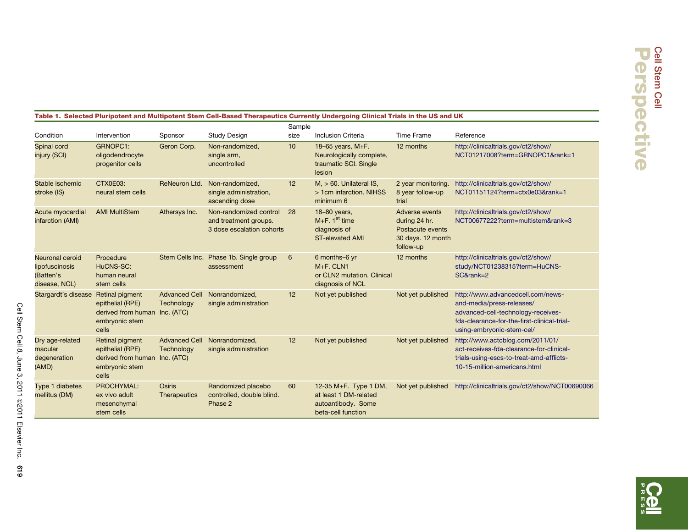### <span id="page-1-0"></span>Table 1. Selected Pluripotent and Multipotent Stem Cell-Based Therapeutics Currently Undergoing Clinical Trials in the US and UK

|                                                                 |                                                                                                 |                                    |                                                                              | Sample |                                                                                            |                                                                                       |                                                                                                                                                                                  |
|-----------------------------------------------------------------|-------------------------------------------------------------------------------------------------|------------------------------------|------------------------------------------------------------------------------|--------|--------------------------------------------------------------------------------------------|---------------------------------------------------------------------------------------|----------------------------------------------------------------------------------------------------------------------------------------------------------------------------------|
| Condition                                                       | Intervention                                                                                    | Sponsor                            | <b>Study Design</b>                                                          | size   | <b>Inclusion Criteria</b>                                                                  | <b>Time Frame</b>                                                                     | Reference                                                                                                                                                                        |
| Spinal cord<br>injury (SCI)                                     | GRNOPC1:<br>oligodendrocyte<br>progenitor cells                                                 | Geron Corp.                        | Non-randomized,<br>single arm,<br>uncontrolled                               | 10     | 18-65 years, M+F.<br>Neurologically complete,<br>traumatic SCI. Single<br>lesion           | 12 months                                                                             | http://clinicaltrials.gov/ct2/show/<br>NCT01217008?term=GRNOPC1&rank=1                                                                                                           |
| Stable ischemic<br>stroke (IS)                                  | CTX0E03:<br>neural stem cells                                                                   | ReNeuron Ltd.                      | Non-randomized,<br>single administration,<br>ascending dose                  | 12     | $M_{1}$ > 60. Unilateral IS,<br>> 1cm infarction. NIHSS<br>minimum 6                       | 2 year monitoring.<br>8 year follow-up<br>trial                                       | http://clinicaltrials.gov/ct2/show/<br>NCT01151124?term=ctx0e03&rank=1                                                                                                           |
| Acute myocardial<br>infarction (AMI)                            | <b>AMI MultiStem</b>                                                                            | Athersys Inc.                      | Non-randomized control<br>and treatment groups.<br>3 dose escalation cohorts | 28     | 18-80 years,<br>$M + F$ . 1 <sup>st</sup> time<br>diagnosis of<br><b>ST-elevated AMI</b>   | Adverse events<br>during 24 hr.<br>Postacute events<br>30 days. 12 month<br>follow-up | http://clinicaltrials.gov/ct2/show/<br>NCT00677222?term=multistem&rank=3                                                                                                         |
| Neuronal ceroid<br>lipofuscinosis<br>(Batten's<br>disease, NCL) | Procedure<br>HuCNS-SC:<br>human neural<br>stem cells                                            |                                    | Stem Cells Inc. Phase 1b. Single group<br>assessment                         | 6      | 6 months-6 yr<br>$M + F$ . CLN1<br>or CLN2 mutation. Clinical<br>diagnosis of NCL          | 12 months                                                                             | http://clinicaltrials.gov/ct2/show/<br>study/NCT01238315?term=HuCNS-<br>SC&rank=2                                                                                                |
| Stargardt's disease                                             | Retinal pigment<br>epithelial (RPE)<br>derived from human Inc. (ATC)<br>embryonic stem<br>cells | <b>Advanced Cell</b><br>Technology | Nonrandomized,<br>single administration                                      | 12     | Not yet published                                                                          | Not yet published                                                                     | http://www.advancedcell.com/news-<br>and-media/press-releases/<br>advanced-cell-technology-receives-<br>fda-clearance-for-the-first-clinical-trial-<br>using-embryonic-stem-cel/ |
| Dry age-related<br>macular<br>degeneration<br>(AMD)             | Retinal pigment<br>epithelial (RPE)<br>derived from human Inc. (ATC)<br>embryonic stem<br>cells | <b>Advanced Cell</b><br>Technology | Nonrandomized,<br>single administration                                      | 12     | Not yet published                                                                          | Not yet published                                                                     | http://www.actcblog.com/2011/01/<br>act-receives-fda-clearance-for-clinical-<br>trials-using-escs-to-treat-amd-afflicts-<br>10-15-million-americans.html                         |
| Type 1 diabetes<br>mellitus (DM)                                | PROCHYMAL:<br>ex vivo adult<br>mesenchymal<br>stem cells                                        | Osiris<br>Therapeutics             | Randomized placebo<br>controlled, double blind.<br>Phase 2                   | 60     | 12-35 M+F. Type 1 DM,<br>at least 1 DM-related<br>autoantibody. Some<br>beta-cell function | Not yet published                                                                     | http://clinicaltrials.gov/ct2/show/NCT00690066                                                                                                                                   |

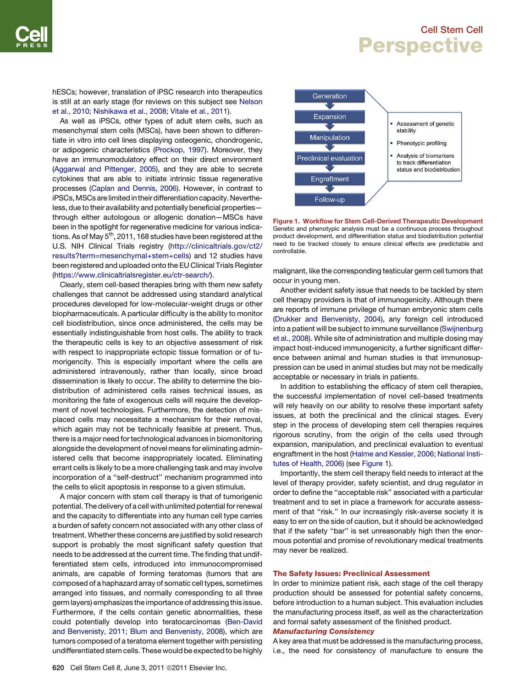hESCs; however, translation of iPSC research into therapeutics is still at an early stage (for reviews on this subject see [Nelson](#page-10-0) [et al., 2010; Nishikawa et al., 2008; Vitale et al., 2011](#page-10-0)).

As well as iPSCs, other types of adult stem cells, such as mesenchymal stem cells (MSCs), have been shown to differentiate in vitro into cell lines displaying osteogenic, chondrogenic, or adipogenic characteristics ([Prockop, 1997\)](#page-10-0). Moreover, they have an immunomodulatory effect on their direct environment ([Aggarwal and Pittenger, 2005\)](#page-9-0), and they are able to secrete cytokines that are able to initiate intrinsic tissue regenerative processes ([Caplan and Dennis, 2006](#page-9-0)). However, in contrast to iPSCs,MSCs are limited in their differentiation capacity. Nevertheless, due to their availability and potentially beneficial properties through either autologous or allogenic donation—MSCs have been in the spotlight for regenerative medicine for various indications. As of May  $5<sup>th</sup>$ , 2011, 168 studies have been registered at the U.S. NIH Clinical Trials registry ([http://clinicaltrials.gov/ct2/](http://clinicaltrials.gov/ct2/results?term=mesenchymal+stem+cells) [results?term=mesenchymal+stem+cells](http://clinicaltrials.gov/ct2/results?term=mesenchymal+stem+cells)) and 12 studies have been registered and uploaded onto the EU Clinical Trials Register (<https://www.clinicaltrialsregister.eu/ctr-search/>).

Clearly, stem cell-based therapies bring with them new safety challenges that cannot be addressed using standard analytical procedures developed for low-molecular-weight drugs or other biopharmaceuticals. A particular difficulty is the ability to monitor cell biodistribution, since once administered, the cells may be essentially indistinguishable from host cells. The ability to track the therapeutic cells is key to an objective assessment of risk with respect to inappropriate ectopic tissue formation or of tumorigencity. This is especially important where the cells are administered intravenously, rather than locally, since broad dissemination is likely to occur. The ability to determine the biodistribution of administered cells raises technical issues, as monitoring the fate of exogenous cells will require the development of novel technologies. Furthermore, the detection of misplaced cells may necessitate a mechanism for their removal, which again may not be technically feasible at present. Thus, there is a major need for technological advances in biomonitoring alongside the development of novel means for eliminating administered cells that become inappropriately located. Eliminating errant cells is likely to be a more challenging task and may involve incorporation of a ''self-destruct'' mechanism programmed into the cells to elicit apoptosis in response to a given stimulus.

A major concern with stem cell therapy is that of tumorigenic potential. The delivery of a cell with unlimited potential for renewal and the capacity to differentiate into any human cell type carries a burden of safety concern not associated with any other class of treatment. Whether these concerns are justified by solid research support is probably the most significant safety question that needs to be addressed at the current time. The finding that undifferentiated stem cells, introduced into immunocompromised animals, are capable of forming teratomas (tumors that are composed of a haphazard array of somatic cell types, sometimes arranged into tissues, and normally corresponding to all three germ layers) emphasizes the importance of addressing this issue. Furthermore, if the cells contain genetic abnormalities, these could potentially develop into teratocarcinomas ([Ben-David](#page-9-0) [and Benvenisty, 2011; Blum and Benvenisty, 2008\)](#page-9-0), which are tumors composed of a teratoma element together with persisting undifferentiated stem cells. These would be expected to be highly



Figure 1. Workflow for Stem Cell-Derived Therapeutic Development Genetic and phenotypic analysis must be a continuous process throughout product development, and differentiation status and biodistribution potential need to be tracked closely to ensure clinical effects are predictable and controllable.

malignant, like the corresponding testicular germ cell tumors that occur in young men.

Another evident safety issue that needs to be tackled by stem cell therapy providers is that of immunogenicity. Although there are reports of immune privilege of human embryonic stem cells [\(Drukker and Benvenisty, 2004\)](#page-9-0), any foreign cell introduced into a patient will be subject to immune surveillance ([Swijnenburg](#page-10-0) [et al., 2008](#page-10-0)). While site of administration and multiple dosing may impact host-induced immunogenicity, a further significant difference between animal and human studies is that immunosuppression can be used in animal studies but may not be medically acceptable or necessary in trials in patients.

In addition to establishing the efficacy of stem cell therapies, the successful implementation of novel cell-based treatments will rely heavily on our ability to resolve these important safety issues, at both the preclinical and the clinical stages. Every step in the process of developing stem cell therapies requires rigorous scrutiny, from the origin of the cells used through expansion, manipulation, and preclinical evaluation to eventual engraftment in the host ([Halme and Kessler, 2006; National Insti](#page-9-0)[tutes of Health, 2006\)](#page-9-0) (see Figure 1).

Importantly, the stem cell therapy field needs to interact at the level of therapy provider, safety scientist, and drug regulator in order to define the ''acceptable risk'' associated with a particular treatment and to set in place a framework for accurate assessment of that ''risk.'' In our increasingly risk-averse society it is easy to err on the side of caution, but it should be acknowledged that if the safety ''bar'' is set unreasonably high then the enormous potential and promise of revolutionary medical treatments may never be realized.

#### The Safety Issues: Preclinical Assessment

In order to minimize patient risk, each stage of the cell therapy production should be assessed for potential safety concerns, before introduction to a human subject. This evaluation includes the manufacturing process itself, as well as the characterization and formal safety assessment of the finished product.

### Manufacturing Consistency

A key area that must be addressed is the manufacturing process, i.e., the need for consistency of manufacture to ensure the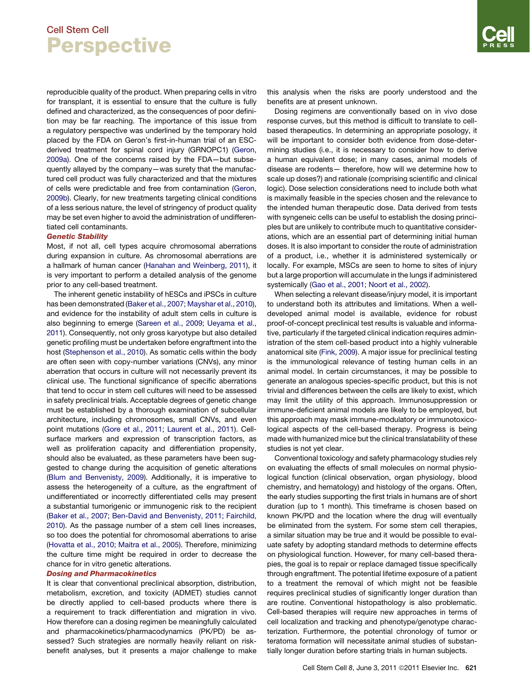reproducible quality of the product. When preparing cells in vitro for transplant, it is essential to ensure that the culture is fully defined and characterized, as the consequences of poor definition may be far reaching. The importance of this issue from a regulatory perspective was underlined by the temporary hold placed by the FDA on Geron's first-in-human trial of an ESCderived treatment for spinal cord injury (GRNOPC1) [\(Geron,](#page-9-0) [2009a](#page-9-0)). One of the concerns raised by the FDA—but subsequently allayed by the company—was surety that the manufactured cell product was fully characterized and that the mixtures of cells were predictable and free from contamination [\(Geron,](#page-9-0) [2009b\)](#page-9-0). Clearly, for new treatments targeting clinical conditions of a less serious nature, the level of stringency of product quality may be set even higher to avoid the administration of undifferentiated cell contaminants.

#### Genetic Stability

Most, if not all, cell types acquire chromosomal aberrations during expansion in culture. As chromosomal aberrations are a hallmark of human cancer ([Hanahan and Weinberg, 2011](#page-9-0)), it is very important to perform a detailed analysis of the genome prior to any cell-based treatment.

The inherent genetic instability of hESCs and iPSCs in culture has been demonstrated [\(Baker et al., 2007; Mayshar et al., 2010\)](#page-9-0), and evidence for the instability of adult stem cells in culture is also beginning to emerge ([Sareen et al., 2009; Ueyama et al.,](#page-10-0) [2011\)](#page-10-0). Consequently, not only gross karyotype but also detailed genetic profiling must be undertaken before engraftment into the host [\(Stephenson et al., 2010\)](#page-10-0). As somatic cells within the body are often seen with copy-number variations (CNVs), any minor aberration that occurs in culture will not necessarily prevent its clinical use. The functional significance of specific aberrations that tend to occur in stem cell cultures will need to be assessed in safety preclinical trials. Acceptable degrees of genetic change must be established by a thorough examination of subcellular architecture, including chromosomes, small CNVs, and even point mutations ([Gore et al., 2011; Laurent et al., 2011\)](#page-9-0). Cellsurface markers and expression of transcription factors, as well as proliferation capacity and differentiation propensity, should also be evaluated, as these parameters have been suggested to change during the acquisition of genetic alterations [\(Blum and Benvenisty, 2009\)](#page-9-0). Additionally, it is imperative to assess the heterogeneity of a culture, as the engraftment of undifferentiated or incorrectly differentiated cells may present a substantial tumorigenic or immunogenic risk to the recipient [\(Baker et al., 2007; Ben-David and Benvenisty, 2011; Fairchild,](#page-9-0) [2010\)](#page-9-0). As the passage number of a stem cell lines increases, so too does the potential for chromosomal aberrations to arise [\(Hovatta et al., 2010; Maitra et al., 2005\)](#page-9-0). Therefore, minimizing the culture time might be required in order to decrease the chance for in vitro genetic alterations.

### Dosing and Pharmacokinetics

It is clear that conventional preclinical absorption, distribution, metabolism, excretion, and toxicity (ADMET) studies cannot be directly applied to cell-based products where there is a requirement to track differentiation and migration in vivo. How therefore can a dosing regimen be meaningfully calculated and pharmacokinetics/pharmacodynamics (PK/PD) be assessed? Such strategies are normally heavily reliant on riskbenefit analyses, but it presents a major challenge to make this analysis when the risks are poorly understood and the benefits are at present unknown.

Dosing regimens are conventionally based on in vivo dose response curves, but this method is difficult to translate to cellbased therapeutics. In determining an appropriate posology, it will be important to consider both evidence from dose-determining studies (i.e., it is necessary to consider how to derive a human equivalent dose; in many cases, animal models of disease are rodents— therefore, how will we determine how to scale up doses?) and rationale (comprising scientific and clinical logic). Dose selection considerations need to include both what is maximally feasible in the species chosen and the relevance to the intended human therapeutic dose. Data derived from tests with syngeneic cells can be useful to establish the dosing principles but are unlikely to contribute much to quantitative considerations, which are an essential part of determining initial human doses. It is also important to consider the route of administration of a product, i.e., whether it is administered systemically or locally. For example, MSCs are seen to home to sites of injury but a large proportion will accumulate in the lungs if administered systemically ([Gao et al., 2001; Noort et al., 2002](#page-9-0)).

When selecting a relevant disease/injury model, it is important to understand both its attributes and limitations. When a welldeveloped animal model is available, evidence for robust proof-of-concept preclinical test results is valuable and informative, particularly if the targeted clinical indication requires administration of the stem cell-based product into a highly vulnerable anatomical site ([Fink, 2009\)](#page-9-0). A major issue for preclinical testing is the immunological relevance of testing human cells in an animal model. In certain circumstances, it may be possible to generate an analogous species-specific product, but this is not trivial and differences between the cells are likely to exist, which may limit the utility of this approach. Immunosuppression or immune-deficient animal models are likely to be employed, but this approach may mask immune-modulatory or immunotoxicological aspects of the cell-based therapy. Progress is being made with humanized mice but the clinical translatability of these studies is not yet clear.

Conventional toxicology and safety pharmacology studies rely on evaluating the effects of small molecules on normal physiological function (clinical observation, organ physiology, blood chemistry, and hematology) and histology of the organs. Often, the early studies supporting the first trials in humans are of short duration (up to 1 month). This timeframe is chosen based on known PK/PD and the location where the drug will eventually be eliminated from the system. For some stem cell therapies, a similar situation may be true and it would be possible to evaluate safety by adopting standard methods to determine effects on physiological function. However, for many cell-based therapies, the goal is to repair or replace damaged tissue specifically through engraftment. The potential lifetime exposure of a patient to a treatment the removal of which might not be feasible requires preclinical studies of significantly longer duration than are routine. Conventional histopathology is also problematic. Cell-based therapies will require new approaches in terms of cell localization and tracking and phenotype/genotype characterization. Furthermore, the potential chronology of tumor or teratoma formation will necessitate animal studies of substantially longer duration before starting trials in human subjects.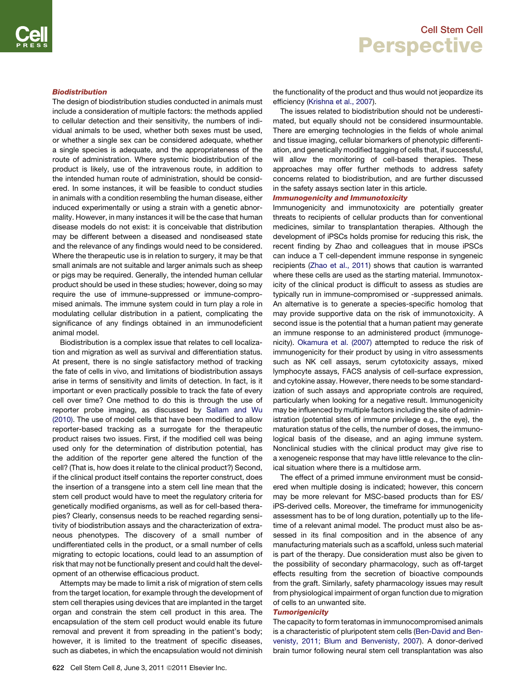### Biodistribution

The design of biodistribution studies conducted in animals must include a consideration of multiple factors: the methods applied to cellular detection and their sensitivity, the numbers of individual animals to be used, whether both sexes must be used, or whether a single sex can be considered adequate, whether a single species is adequate, and the appropriateness of the route of administration. Where systemic biodistribution of the product is likely, use of the intravenous route, in addition to the intended human route of administration, should be considered. In some instances, it will be feasible to conduct studies in animals with a condition resembling the human disease, either induced experimentally or using a strain with a genetic abnormality. However, in many instances it will be the case that human disease models do not exist: it is conceivable that distribution may be different between a diseased and nondiseased state and the relevance of any findings would need to be considered. Where the therapeutic use is in relation to surgery, it may be that small animals are not suitable and larger animals such as sheep or pigs may be required. Generally, the intended human cellular product should be used in these studies; however, doing so may require the use of immune-suppressed or immune-compromised animals. The immune system could in turn play a role in modulating cellular distribution in a patient, complicating the significance of any findings obtained in an immunodeficient animal model.

Biodistribution is a complex issue that relates to cell localization and migration as well as survival and differentiation status. At present, there is no single satisfactory method of tracking the fate of cells in vivo, and limitations of biodistribution assays arise in terms of sensitivity and limits of detection. In fact, is it important or even practically possible to track the fate of every cell over time? One method to do this is through the use of reporter probe imaging, as discussed by [Sallam and Wu](#page-10-0) [\(2010\).](#page-10-0) The use of model cells that have been modified to allow reporter-based tracking as a surrogate for the therapeutic product raises two issues. First, if the modified cell was being used only for the determination of distribution potential, has the addition of the reporter gene altered the function of the cell? (That is, how does it relate to the clinical product?) Second, if the clinical product itself contains the reporter construct, does the insertion of a transgene into a stem cell line mean that the stem cell product would have to meet the regulatory criteria for genetically modified organisms, as well as for cell-based therapies? Clearly, consensus needs to be reached regarding sensitivity of biodistribution assays and the characterization of extraneous phenotypes. The discovery of a small number of undifferentiated cells in the product, or a small number of cells migrating to ectopic locations, could lead to an assumption of risk that may not be functionally present and could halt the development of an otherwise efficacious product.

Attempts may be made to limit a risk of migration of stem cells from the target location, for example through the development of stem cell therapies using devices that are implanted in the target organ and constrain the stem cell product in this area. The encapsulation of the stem cell product would enable its future removal and prevent it from spreading in the patient's body; however, it is limited to the treatment of specific diseases, such as diabetes, in which the encapsulation would not diminish the functionality of the product and thus would not jeopardize its efficiency [\(Krishna et al., 2007](#page-9-0)).

The issues related to biodistribution should not be underestimated, but equally should not be considered insurmountable. There are emerging technologies in the fields of whole animal and tissue imaging, cellular biomarkers of phenotypic differentiation, and genetically modified tagging of cells that, if successful, will allow the monitoring of cell-based therapies. These approaches may offer further methods to address safety concerns related to biodistribution, and are further discussed in the safety assays section later in this article.

#### Immunogenicity and Immunotoxicity

Immunogenicity and immunotoxicity are potentially greater threats to recipients of cellular products than for conventional medicines, similar to transplantation therapies. Although the development of iPSCs holds promise for reducing this risk, the recent finding by Zhao and colleagues that in mouse iPSCs can induce a T cell-dependent immune response in syngeneic recipients [\(Zhao et al., 2011\)](#page-10-0) shows that caution is warranted where these cells are used as the starting material. Immunotoxicity of the clinical product is difficult to assess as studies are typically run in immune-compromised or -suppressed animals. An alternative is to generate a species-specific homolog that may provide supportive data on the risk of immunotoxicity. A second issue is the potential that a human patient may generate an immune response to an administered product (immunogenicity). [Okamura et al. \(2007\)](#page-10-0) attempted to reduce the risk of immunogenicity for their product by using in vitro assessments such as NK cell assays, serum cytotoxicity assays, mixed lymphocyte assays, FACS analysis of cell-surface expression, and cytokine assay. However, there needs to be some standardization of such assays and appropriate controls are required, particularly when looking for a negative result. Immunogenicity may be influenced by multiple factors including the site of administration (potential sites of immune privilege e.g., the eye), the maturation status of the cells, the number of doses, the immunological basis of the disease, and an aging immune system. Nonclinical studies with the clinical product may give rise to a xenogeneic response that may have little relevance to the clinical situation where there is a multidose arm.

The effect of a primed immune environment must be considered when multiple dosing is indicated; however, this concern may be more relevant for MSC-based products than for ES/ iPS-derived cells. Moreover, the timeframe for immunogenicity assessment has to be of long duration, potentially up to the lifetime of a relevant animal model. The product must also be assessed in its final composition and in the absence of any manufacturing materials such as a scaffold, unless such material is part of the therapy. Due consideration must also be given to the possibility of secondary pharmacology, such as off-target effects resulting from the secretion of bioactive compounds from the graft. Similarly, safety pharmacology issues may result from physiological impairment of organ function due to migration of cells to an unwanted site.

#### **Tumorigenicity**

The capacity to form teratomas in immunocompromised animals is a characteristic of pluripotent stem cells [\(Ben-David and Ben](#page-9-0)[venisty, 2011; Blum and Benvenisty, 2007\)](#page-9-0). A donor-derived brain tumor following neural stem cell transplantation was also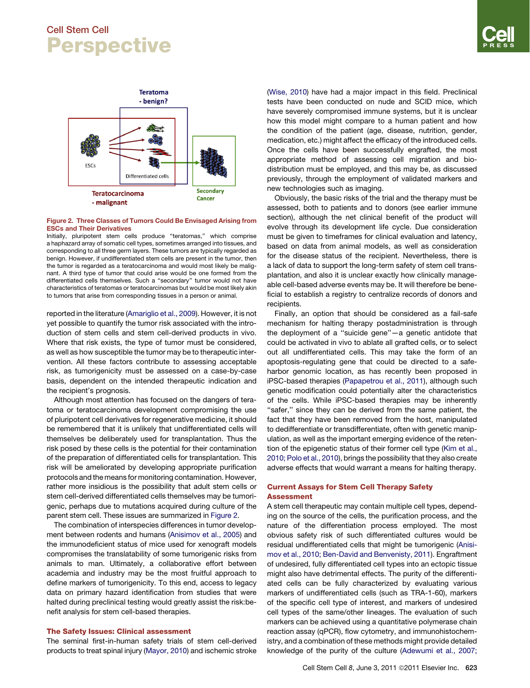

#### Figure 2. Three Classes of Tumors Could Be Envisaged Arising from ESCs and Their Derivatives

Initially, pluripotent stem cells produce ''teratomas,'' which comprise a haphazard array of somatic cell types, sometimes arranged into tissues, and corresponding to all three germ layers. These tumors are typically regarded as benign. However, if undifferentiated stem cells are present in the tumor, then the tumor is regarded as a teratocarcinoma and would most likely be malignant. A third type of tumor that could arise would be one formed from the differentiated cells themselves. Such a ''secondary'' tumor would not have characteristics of teratomas or teratocarcinomas but would be most likely akin to tumors that arise from corresponding tissues in a person or animal.

reported in the literature [\(Amariglio et al., 2009\)](#page-9-0). However, it is not yet possible to quantify the tumor risk associated with the introduction of stem cells and stem cell-derived products in vivo. Where that risk exists, the type of tumor must be considered, as well as how susceptible the tumor may be to therapeutic intervention. All these factors contribute to assessing acceptable risk, as tumorigenicity must be assessed on a case-by-case basis, dependent on the intended therapeutic indication and the recipient's prognosis.

Although most attention has focused on the dangers of teratoma or teratocarcinoma development compromising the use of pluripotent cell derivatives for regenerative medicine, it should be remembered that it is unlikely that undifferentiated cells will themselves be deliberately used for transplantation. Thus the risk posed by these cells is the potential for their contamination of the preparation of differentiated cells for transplantation. This risk will be ameliorated by developing appropriate purification protocols and the means for monitoring contamination. However, rather more insidious is the possibility that adult stem cells or stem cell-derived differentiated cells themselves may be tumorigenic, perhaps due to mutations acquired during culture of the parent stem cell. These issues are summarized in Figure 2.

The combination of interspecies differences in tumor development between rodents and humans ([Anisimov et al., 2005](#page-9-0)) and the immunodeficient status of mice used for xenograft models compromises the translatability of some tumorigenic risks from animals to man. Ultimately, a collaborative effort between academia and industry may be the most fruitful approach to define markers of tumorigenicity. To this end, access to legacy data on primary hazard identification from studies that were halted during preclinical testing would greatly assist the risk:benefit analysis for stem cell-based therapies.

### The Safety Issues: Clinical assessment

The seminal first-in-human safety trials of stem cell-derived products to treat spinal injury ([Mayor, 2010\)](#page-10-0) and ischemic stroke [\(Wise, 2010](#page-10-0)) have had a major impact in this field. Preclinical tests have been conducted on nude and SCID mice, which have severely compromised immune systems, but it is unclear how this model might compare to a human patient and how the condition of the patient (age, disease, nutrition, gender, medication, etc.) might affect the efficacy of the introduced cells. Once the cells have been successfully engrafted, the most appropriate method of assessing cell migration and biodistribution must be employed, and this may be, as discussed previously, through the employment of validated markers and new technologies such as imaging.

Obviously, the basic risks of the trial and the therapy must be assessed, both to patients and to donors (see earlier immune section), although the net clinical benefit of the product will evolve through its development life cycle. Due consideration must be given to timeframes for clinical evaluation and latency, based on data from animal models, as well as consideration for the disease status of the recipient. Nevertheless, there is a lack of data to support the long-term safety of stem cell transplantation, and also it is unclear exactly how clinically manageable cell-based adverse events may be. It will therefore be beneficial to establish a registry to centralize records of donors and recipients.

Finally, an option that should be considered as a fail-safe mechanism for halting therapy postadministration is through the deployment of a ''suicide gene''—a genetic antidote that could be activated in vivo to ablate all grafted cells, or to select out all undifferentiated cells. This may take the form of an apoptosis-regulating gene that could be directed to a safeharbor genomic location, as has recently been proposed in iPSC-based therapies [\(Papapetrou et al., 2011](#page-10-0)), although such genetic modification could potentially alter the characteristics of the cells. While iPSC-based therapies may be inherently "safer," since they can be derived from the same patient, the fact that they have been removed from the host, manipulated to dedifferentiate or transdifferentiate, often with genetic manipulation, as well as the important emerging evidence of the retention of the epigenetic status of their former cell type [\(Kim et al.,](#page-9-0) [2010; Polo et al., 2010](#page-9-0)), brings the possibility that they also create adverse effects that would warrant a means for halting therapy.

### Current Assays for Stem Cell Therapy Safety Assessment

A stem cell therapeutic may contain multiple cell types, depending on the source of the cells, the purification process, and the nature of the differentiation process employed. The most obvious safety risk of such differentiated cultures would be residual undifferentiated cells that might be tumorigenic ([Anisi](#page-9-0)[mov et al., 2010; Ben-David and Benvenisty, 2011](#page-9-0)). Engraftment of undesired, fully differentiated cell types into an ectopic tissue might also have detrimental effects. The purity of the differentiated cells can be fully characterized by evaluating various markers of undifferentiated cells (such as TRA-1-60), markers of the specific cell type of interest, and markers of undesired cell types of the same/other lineages. The evaluation of such markers can be achieved using a quantitative polymerase chain reaction assay (qPCR), flow cytometry, and immunohistochemistry, and a combination of these methods might provide detailed knowledge of the purity of the culture ([Adewumi et al., 2007;](#page-9-0)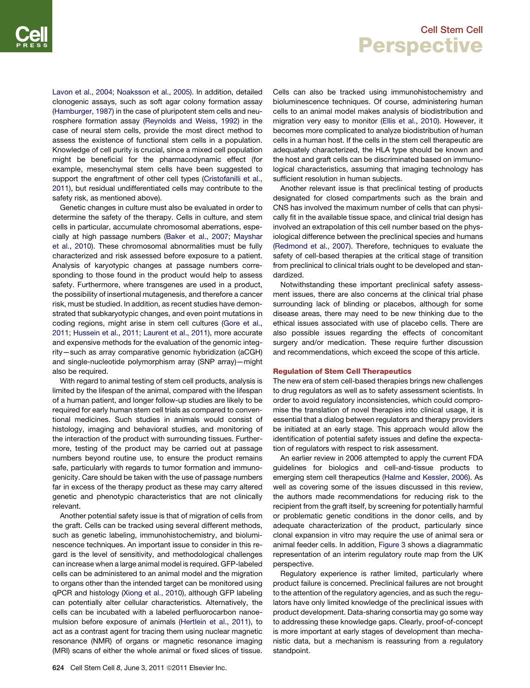[Lavon et al., 2004; Noaksson et al., 2005](#page-9-0)). In addition, detailed clonogenic assays, such as soft agar colony formation assay ([Hamburger, 1987\)](#page-9-0) in the case of pluripotent stem cells and neurosphere formation assay [\(Reynolds and Weiss, 1992](#page-10-0)) in the case of neural stem cells, provide the most direct method to assess the existence of functional stem cells in a population. Knowledge of cell purity is crucial, since a mixed cell population might be beneficial for the pharmacodynamic effect (for example, mesenchymal stem cells have been suggested to support the engraftment of other cell types [\(Cristofanilli et al.,](#page-9-0) [2011](#page-9-0)), but residual undifferentiated cells may contribute to the safety risk, as mentioned above).

Genetic changes in culture must also be evaluated in order to determine the safety of the therapy. Cells in culture, and stem cells in particular, accumulate chromosomal aberrations, especially at high passage numbers ([Baker et al., 2007; Mayshar](#page-9-0) [et al., 2010\)](#page-9-0). These chromosomal abnormalities must be fully characterized and risk assessed before exposure to a patient. Analysis of karyotypic changes at passage numbers corresponding to those found in the product would help to assess safety. Furthermore, where transgenes are used in a product, the possibility of insertional mutagenesis, and therefore a cancer risk, must be studied. In addition, as recent studies have demonstrated that subkaryotypic changes, and even point mutations in coding regions, might arise in stem cell cultures [\(Gore et al.,](#page-9-0) [2011; Hussein et al., 2011; Laurent et al., 2011\)](#page-9-0), more accurate and expensive methods for the evaluation of the genomic integrity—such as array comparative genomic hybridization (aCGH) and single-nucleotide polymorphism array (SNP array)—might also be required.

With regard to animal testing of stem cell products, analysis is limited by the lifespan of the animal, compared with the lifespan of a human patient, and longer follow-up studies are likely to be required for early human stem cell trials as compared to conventional medicines. Such studies in animals would consist of histology, imaging and behavioral studies, and monitoring of the interaction of the product with surrounding tissues. Furthermore, testing of the product may be carried out at passage numbers beyond routine use, to ensure the product remains safe, particularly with regards to tumor formation and immunogenicity. Care should be taken with the use of passage numbers far in excess of the therapy product as these may carry altered genetic and phenotypic characteristics that are not clinically relevant.

Another potential safety issue is that of migration of cells from the graft. Cells can be tracked using several different methods, such as genetic labeling, immunohistochemistry, and bioluminescence techniques. An important issue to consider in this regard is the level of sensitivity, and methodological challenges can increase when a large animal model is required. GFP-labeled cells can be administered to an animal model and the migration to organs other than the intended target can be monitored using qPCR and histology ([Xiong et al., 2010](#page-10-0)), although GFP labeling can potentially alter cellular characteristics. Alternatively, the cells can be incubated with a labeled perfluorocarbon nanoemulsion before exposure of animals ([Hertlein et al., 2011](#page-9-0)), to act as a contrast agent for tracing them using nuclear magnetic resonance (NMR) of organs or magnetic resonance imaging (MRI) scans of either the whole animal or fixed slices of tissue. Cells can also be tracked using immunohistochemistry and bioluminescence techniques. Of course, administering human cells to an animal model makes analysis of biodistribution and migration very easy to monitor ([Ellis et al., 2010\)](#page-9-0). However, it becomes more complicated to analyze biodistribution of human cells in a human host. If the cells in the stem cell therapeutic are adequately characterized, the HLA type should be known and the host and graft cells can be discriminated based on immunological characteristics, assuming that imaging technology has sufficient resolution in human subjects.

Another relevant issue is that preclinical testing of products designated for closed compartments such as the brain and CNS has involved the maximum number of cells that can physically fit in the available tissue space, and clinical trial design has involved an extrapolation of this cell number based on the physiological difference between the preclinical species and humans [\(Redmond et al., 2007](#page-10-0)). Therefore, techniques to evaluate the safety of cell-based therapies at the critical stage of transition from preclinical to clinical trials ought to be developed and standardized.

Notwithstanding these important preclinical safety assessment issues, there are also concerns at the clinical trial phase surrounding lack of blinding or placebos, although for some disease areas, there may need to be new thinking due to the ethical issues associated with use of placebo cells. There are also possible issues regarding the effects of concomitant surgery and/or medication. These require further discussion and recommendations, which exceed the scope of this article.

#### Regulation of Stem Cell Therapeutics

The new era of stem cell-based therapies brings new challenges to drug regulators as well as to safety assessment scientists. In order to avoid regulatory inconsistencies, which could compromise the translation of novel therapies into clinical usage, it is essential that a dialog between regulators and therapy providers be initiated at an early stage. This approach would allow the identification of potential safety issues and define the expectation of regulators with respect to risk assessment.

An earlier review in 2006 attempted to apply the current FDA guidelines for biologics and cell-and-tissue products to emerging stem cell therapeutics [\(Halme and Kessler, 2006](#page-9-0)). As well as covering some of the issues discussed in this review, the authors made recommendations for reducing risk to the recipient from the graft itself, by screening for potentially harmful or problematic genetic conditions in the donor cells, and by adequate characterization of the product, particularly since clonal expansion in vitro may require the use of animal sera or animal feeder cells. In addition, [Figure 3](#page-7-0) shows a diagrammatic representation of an interim regulatory route map from the UK perspective.

Regulatory experience is rather limited, particularly where product failure is concerned. Preclinical failures are not brought to the attention of the regulatory agencies, and as such the regulators have only limited knowledge of the preclinical issues with product development. Data-sharing consortia may go some way to addressing these knowledge gaps. Clearly, proof-of-concept is more important at early stages of development than mechanistic data, but a mechanism is reassuring from a regulatory standpoint.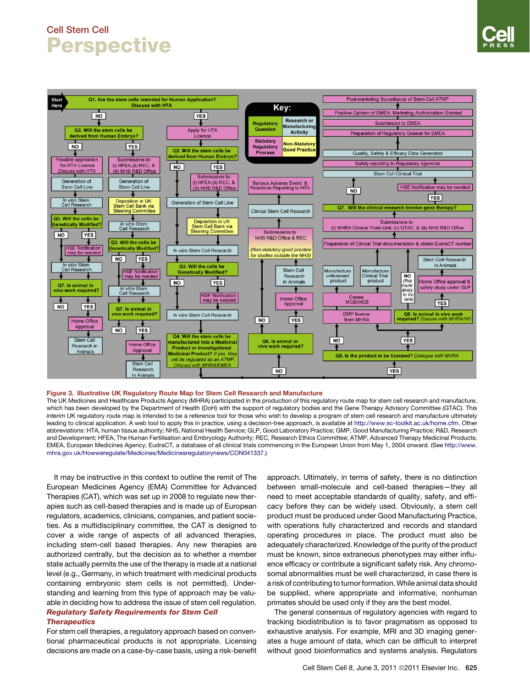<span id="page-7-0"></span>

#### Figure 3. Illustrative UK Regulatory Route Map for Stem Cell Research and Manufacture

The UK Medicines and Healthcare Products Agency (MHRA) participated in the production of this regulatory route map for stem cell research and manufacture, which has been developed by the Department of Health (DoH) with the support of regulatory bodies and the Gene Therapy Advisory Committee (GTAC). This *interim* UK regulatory route map is intended to be a reference tool for those who wish to develop a program of stem cell research and manufacture ultimately leading to clinical application. A web tool to apply this in practice, using a decision-tree approach, is available at [http://www.sc-toolkit.ac.uk/home.cfm.](http://www.sc-toolkit.ac.uk/home.cfm) Other abbreviations: HTA, human tissue authority; NHS, National Health Service; GLP, Good Laboratory Practice; GMP, Good Manufacturing Practice; R&D, Research and Development; HFEA, The Human Fertilisation and Embryology Authority; REC, Research Ethics Committee; ATMP, Advanced Therapy Medicinal Products; EMEA, European Medicines Agency; EudraCT, a database of all clinical trials commencing in the European Union from May 1, 2004 onward. (See [http://www.](http://www.mhra.gov.uk/Howweregulate/Medicines/Medicinesregulatorynews/CON041337) [mhra.gov.uk/Howweregulate/Medicines/Medicinesregulatorynews/CON041337](http://www.mhra.gov.uk/Howweregulate/Medicines/Medicinesregulatorynews/CON041337).)

It may be instructive in this context to outline the remit of The European Medicines Agency (EMA) Committee for Advanced Therapies (CAT), which was set up in 2008 to regulate new therapies such as cell-based therapies and is made up of European regulators, academics, clinicians, companies, and patient societies. As a multidisciplinary committee, the CAT is designed to cover a wide range of aspects of all advanced therapies, including stem-cell based therapies. Any new therapies are authorized centrally, but the decision as to whether a member state actually permits the use of the therapy is made at a national level (e.g., Germany, in which treatment with medicinal products containing embryonic stem cells is not permitted). Understanding and learning from this type of approach may be valuable in deciding how to address the issue of stem cell regulation.

#### Regulatory Safety Requirements for Stem Cell **Therapeutics**

For stem cell therapies, a regulatory approach based on conventional pharmaceutical products is not appropriate. Licensing decisions are made on a case-by-case basis, using a risk-benefit approach. Ultimately, in terms of safety, there is no distinction between small-molecule and cell-based therapies—they all need to meet acceptable standards of quality, safety, and efficacy before they can be widely used. Obviously, a stem cell product must be produced under Good Manufacturing Practice, with operations fully characterized and records and standard operating procedures in place. The product must also be adequately characterized. Knowledge of the purity of the product must be known, since extraneous phenotypes may either influence efficacy or contribute a significant safety risk. Any chromosomal abnormalities must be well characterized, in case there is a risk of contributing to tumor formation.While animal data should be supplied, where appropriate and informative, nonhuman primates should be used only if they are the best model.

The general consensus of regulatory agencies with regard to tracking biodistribution is to favor pragmatism as opposed to exhaustive analysis. For example, MRI and 3D imaging generates a huge amount of data, which can be difficult to interpret without good bioinformatics and systems analysis. Regulators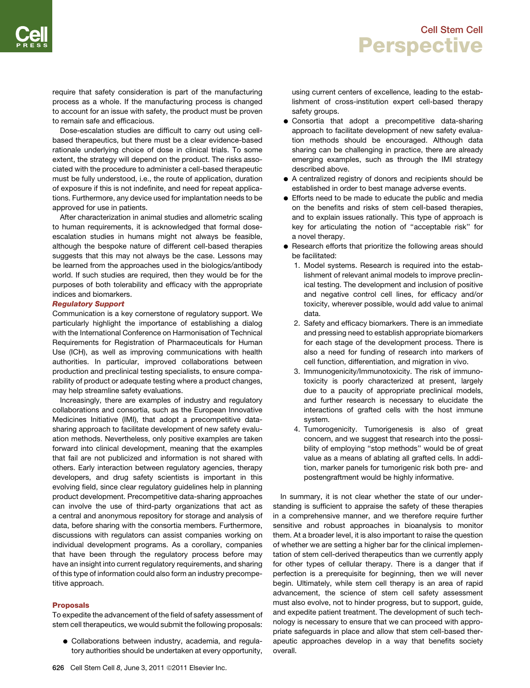require that safety consideration is part of the manufacturing process as a whole. If the manufacturing process is changed to account for an issue with safety, the product must be proven to remain safe and efficacious.

Dose-escalation studies are difficult to carry out using cellbased therapeutics, but there must be a clear evidence-based rationale underlying choice of dose in clinical trials. To some extent, the strategy will depend on the product. The risks associated with the procedure to administer a cell-based therapeutic must be fully understood, i.e., the route of application, duration of exposure if this is not indefinite, and need for repeat applications. Furthermore, any device used for implantation needs to be approved for use in patients.

After characterization in animal studies and allometric scaling to human requirements, it is acknowledged that formal doseescalation studies in humans might not always be feasible, although the bespoke nature of different cell-based therapies suggests that this may not always be the case. Lessons may be learned from the approaches used in the biologics/antibody world. If such studies are required, then they would be for the purposes of both tolerability and efficacy with the appropriate indices and biomarkers.

#### Regulatory Support

Communication is a key cornerstone of regulatory support. We particularly highlight the importance of establishing a dialog with the International Conference on Harmonisation of Technical Requirements for Registration of Pharmaceuticals for Human Use (ICH), as well as improving communications with health authorities. In particular, improved collaborations between production and preclinical testing specialists, to ensure comparability of product or adequate testing where a product changes, may help streamline safety evaluations.

Increasingly, there are examples of industry and regulatory collaborations and consortia, such as the European Innovative Medicines Initiative (IMI), that adopt a precompetitive datasharing approach to facilitate development of new safety evaluation methods. Nevertheless, only positive examples are taken forward into clinical development, meaning that the examples that fail are not publicized and information is not shared with others. Early interaction between regulatory agencies, therapy developers, and drug safety scientists is important in this evolving field, since clear regulatory guidelines help in planning product development. Precompetitive data-sharing approaches can involve the use of third-party organizations that act as a central and anonymous repository for storage and analysis of data, before sharing with the consortia members. Furthermore, discussions with regulators can assist companies working on individual development programs. As a corollary, companies that have been through the regulatory process before may have an insight into current regulatory requirements, and sharing of this type of information could also form an industry precompetitive approach.

### Proposals

To expedite the advancement of the field of safety assessment of stem cell therapeutics, we would submit the following proposals:

• Collaborations between industry, academia, and regulatory authorities should be undertaken at every opportunity, using current centers of excellence, leading to the establishment of cross-institution expert cell-based therapy safety groups.

- Consortia that adopt a precompetitive data-sharing approach to facilitate development of new safety evaluation methods should be encouraged. Although data sharing can be challenging in practice, there are already emerging examples, such as through the IMI strategy described above.
- A centralized registry of donors and recipients should be established in order to best manage adverse events.
- **Efforts need to be made to educate the public and media** on the benefits and risks of stem cell-based therapies, and to explain issues rationally. This type of approach is key for articulating the notion of ''acceptable risk'' for a novel therapy.
- Research efforts that prioritize the following areas should be facilitated:
	- 1. Model systems. Research is required into the establishment of relevant animal models to improve preclinical testing. The development and inclusion of positive and negative control cell lines, for efficacy and/or toxicity, wherever possible, would add value to animal data.
	- 2. Safety and efficacy biomarkers. There is an immediate and pressing need to establish appropriate biomarkers for each stage of the development process. There is also a need for funding of research into markers of cell function, differentiation, and migration in vivo.
	- 3. Immunogenicity/Immunotoxicity. The risk of immunotoxicity is poorly characterized at present, largely due to a paucity of appropriate preclinical models, and further research is necessary to elucidate the interactions of grafted cells with the host immune system.
	- 4. Tumorogenicity. Tumorigenesis is also of great concern, and we suggest that research into the possibility of employing ''stop methods'' would be of great value as a means of ablating all grafted cells. In addition, marker panels for tumorigenic risk both pre- and postengraftment would be highly informative.

In summary, it is not clear whether the state of our understanding is sufficient to appraise the safety of these therapies in a comprehensive manner, and we therefore require further sensitive and robust approaches in bioanalysis to monitor them. At a broader level, it is also important to raise the question of whether we are setting a higher bar for the clinical implementation of stem cell-derived therapeutics than we currently apply for other types of cellular therapy. There is a danger that if perfection is a prerequisite for beginning, then we will never begin. Ultimately, while stem cell therapy is an area of rapid advancement, the science of stem cell safety assessment must also evolve, not to hinder progress, but to support, guide, and expedite patient treatment. The development of such technology is necessary to ensure that we can proceed with appropriate safeguards in place and allow that stem cell-based therapeutic approaches develop in a way that benefits society overall.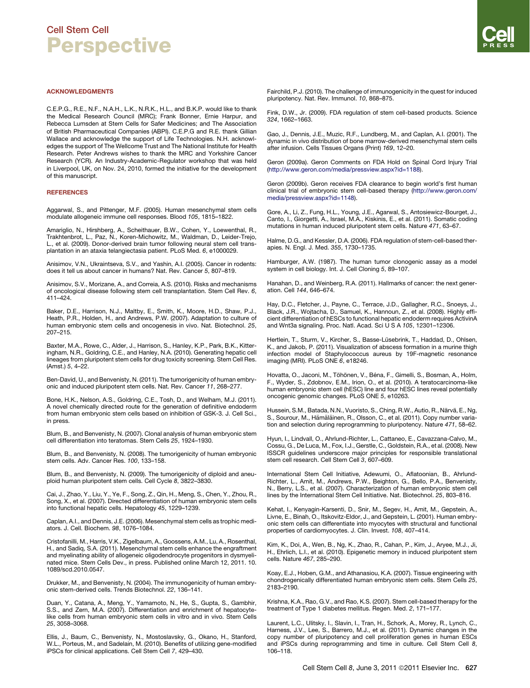<span id="page-9-0"></span>C.E.P.G., R.E., N.F., N.A.H., L.K., N.R.K., H.L., and B.K.P. would like to thank the Medical Research Council (MRC); Frank Bonner, Ernie Harpur, and Rebecca Lumsden at Stem Cells for Safer Medicines; and The Association of British Pharmaceutical Companies (ABPI). C.E.P.G and R.E. thank Gillian Wallace and acknowledge the support of Life Technologies. N.H. acknowledges the support of The Wellcome Trust and The National Institute for Health Research. Peter Andrews wishes to thank the MRC and Yorkshire Cancer Research (YCR). An Industry-Academic-Regulator workshop that was held in Liverpool, UK, on Nov. 24, 2010, formed the initiative for the development of this manuscript.

#### **REFERENCES**

Aggarwal, S., and Pittenger, M.F. (2005). Human mesenchymal stem cells modulate allogeneic immune cell responses. Blood *105*, 1815–1822.

Amariglio, N., Hirshberg, A., Scheithauer, B.W., Cohen, Y., Loewenthal, R., Trakhtenbrot, L., Paz, N., Koren-Michowitz, M., Waldman, D., Leider-Trejo, L., et al. (2009). Donor-derived brain tumor following neural stem cell transplantation in an ataxia telangiectasia patient. PLoS Med. *6*, e1000029.

Anisimov, V.N., Ukraintseva, S.V., and Yashin, A.I. (2005). Cancer in rodents: does it tell us about cancer in humans? Nat. Rev. Cancer *5*, 807–819.

Anisimov, S.V., Morizane, A., and Correia, A.S. (2010). Risks and mechanisms of oncological disease following stem cell transplantation. Stem Cell Rev. *6*, 411–424.

Baker, D.E., Harrison, N.J., Maltby, E., Smith, K., Moore, H.D., Shaw, P.J., Heath, P.R., Holden, H., and Andrews, P.W. (2007). Adaptation to culture of human embryonic stem cells and oncogenesis in vivo. Nat. Biotechnol. *25*, 207–215.

Baxter, M.A., Rowe, C., Alder, J., Harrison, S., Hanley, K.P., Park, B.K., Kitteringham, N.R., Goldring, C.E., and Hanley, N.A. (2010). Generating hepatic cell lineages from pluripotent stem cells for drug toxicity screening. Stem Cell Res. (Amst.) *5*, 4–22.

Ben-David, U., and Benvenisty, N. (2011). The tumorigenicity of human embryonic and induced pluripotent stem cells. Nat. Rev. Cancer *11*, 268–277.

Bone, H.K., Nelson, A.S., Goldring, C.E., Tosh, D., and Welham, M.J. (2011). A novel chemically directed route for the generation of definitive endoderm from human embryonic stem cells based on inhibition of GSK-3. J. Cell Sci., in press.

Blum, B., and Benvenisty, N. (2007). Clonal analysis of human embryonic stem cell differentiation into teratomas. Stem Cells *25*, 1924–1930.

Blum, B., and Benvenisty, N. (2008). The tumorigenicity of human embryonic stem cells. Adv. Cancer Res. *100*, 133–158.

Blum, B., and Benvenisty, N. (2009). The tumorigenicity of diploid and aneuploid human pluripotent stem cells. Cell Cycle *8*, 3822–3830.

Cai, J., Zhao, Y., Liu, Y., Ye, F., Song, Z., Qin, H., Meng, S., Chen, Y., Zhou, R., Song, X., et al. (2007). Directed differentiation of human embryonic stem cells into functional hepatic cells. Hepatology *45*, 1229–1239.

Caplan, A.I., and Dennis, J.E. (2006). Mesenchymal stem cells as trophic mediators. J. Cell. Biochem. *98*, 1076–1084.

Cristofanilli, M., Harris, V.K., Zigelbaum, A., Goossens, A.M., Lu, A., Rosenthal, H., and Sadiq, S.A. (2011). Mesenchymal stem cells enhance the engraftment and myelinating ability of allogeneic oligodendrocyte progenitors in dysmyelinated mice. Stem Cells Dev., in press. Published online March 12, 2011. 10. 1089/scd.2010.0547.

Drukker, M., and Benvenisty, N. (2004). The immunogenicity of human embryonic stem-derived cells. Trends Biotechnol. *22*, 136–141.

Duan, Y., Catana, A., Meng, Y., Yamamoto, N., He, S., Gupta, S., Gambhir, S.S., and Zern, M.A. (2007). Differentiation and enrichment of hepatocytelike cells from human embryonic stem cells in vitro and in vivo. Stem Cells *25*, 3058–3068.

Ellis, J., Baum, C., Benvenisty, N., Mostoslavsky, G., Okano, H., Stanford, W.L., Porteus, M., and Sadelain, M. (2010). Benefits of utilizing gene-modified iPSCs for clinical applications. Cell Stem Cell *7*, 429–430.

Fairchild, P.J. (2010). The challenge of immunogenicity in the quest for induced pluripotency. Nat. Rev. Immunol. *10*, 868–875.

Fink, D.W., Jr. (2009). FDA regulation of stem cell-based products. Science *324*, 1662–1663.

Gao, J., Dennis, J.E., Muzic, R.F., Lundberg, M., and Caplan, A.I. (2001). The dynamic in vivo distribution of bone marrow-derived mesenchymal stem cells after infusion. Cells Tissues Organs (Print) *169*, 12–20.

Geron (2009a). Geron Comments on FDA Hold on Spinal Cord Injury Trial ([http://www.geron.com/media/pressview.aspx?id=1188\)](http://www.geron.com/media/pressview.aspx?id=1188).

Geron (2009b). Geron receives FDA clearance to begin world's first human clinical trial of embryonic stem cell-based therapy [\(http://www.geron.com/](http://www.geron.com/media/pressview.aspx?id=1148) [media/pressview.aspx?id=1148](http://www.geron.com/media/pressview.aspx?id=1148)).

Gore, A., Li, Z., Fung, H.L., Young, J.E., Agarwal, S., Antosiewicz-Bourget, J., Canto, I., Giorgetti, A., Israel, M.A., Kiskinis, E., et al. (2011). Somatic coding mutations in human induced pluripotent stem cells. Nature *471*, 63–67.

Halme, D.G., and Kessler, D.A. (2006). FDA regulation of stem-cell-based therapies. N. Engl. J. Med. *355*, 1730–1735.

Hamburger, A.W. (1987). The human tumor clonogenic assay as a model system in cell biology. Int. J. Cell Cloning *5*, 89–107.

Hanahan, D., and Weinberg, R.A. (2011). Hallmarks of cancer: the next generation. Cell *144*, 646–674.

Hay, D.C., Fletcher, J., Payne, C., Terrace, J.D., Gallagher, R.C., Snoeys, J., Black, J.R., Wojtacha, D., Samuel, K., Hannoun, Z., et al. (2008). Highly efficient differentiation of hESCs to functional hepatic endoderm requires ActivinA and Wnt3a signaling. Proc. Natl. Acad. Sci U S A *105*, 12301–12306.

Hertlein, T., Sturm, V., Kircher, S., Basse-Lüsebrink, T., Haddad, D., Ohlsen, K., and Jakob, P. (2011). Visualization of abscess formation in a murine thigh infection model of Staphylococcus aureus by 19F-magnetic resonance imaging (MRI). PLoS ONE *6*, e18246.

Hovatta, O., Jaconi, M., Töhönen, V., Béna, F., Gimelli, S., Bosman, A., Holm, F., Wyder, S., Zdobnov, E.M., Irion, O., et al. (2010). A teratocarcinoma-like human embryonic stem cell (hESC) line and four hESC lines reveal potentially oncogenic genomic changes. PLoS ONE *5*, e10263.

Hussein, S.M., Batada, N.N., Vuoristo, S., Ching, R.W., Autio, R., Närvä, E., Ng, S., Sourour, M., Hämäläinen, R., Olsson, C., et al. (2011). Copy number variation and selection during reprogramming to pluripotency. Nature *471*, 58–62.

Hyun, I., Lindvall, O., Ahrlund-Richter, L., Cattaneo, E., Cavazzana-Calvo, M., Cossu, G., De Luca, M., Fox, I.J., Gerstle, C., Goldstein, R.A., et al. (2008). New ISSCR guidelines underscore major principles for responsible translational stem cell research. Cell Stem Cell *3*, 607–609.

International Stem Cell Initiative, Adewumi, O., Aflatoonian, B., Ahrlund-Richter, L., Amit, M., Andrews, P.W., Beighton, G., Bello, P.A., Benvenisty, N., Berry, L.S., et al. (2007). Characterization of human embryonic stem cell lines by the International Stem Cell Initiative. Nat. Biotechnol. *25*, 803–816.

Kehat, I., Kenyagin-Karsenti, D., Snir, M., Segev, H., Amit, M., Gepstein, A., Livne, E., Binah, O., Itskovitz-Eldor, J., and Gepstein, L. (2001). Human embryonic stem cells can differentiate into myocytes with structural and functional properties of cardiomyocytes. J. Clin. Invest. *108*, 407–414.

Kim, K., Doi, A., Wen, B., Ng, K., Zhao, R., Cahan, P., Kim, J., Aryee, M.J., Ji, H., Ehrlich, L.I., et al. (2010). Epigenetic memory in induced pluripotent stem cells. Nature *467*, 285–290.

Koay, E.J., Hoben, G.M., and Athanasiou, K.A. (2007). Tissue engineering with chondrogenically differentiated human embryonic stem cells. Stem Cells *25*, 2183–2190.

Krishna, K.A., Rao, G.V., and Rao, K.S. (2007). Stem cell-based therapy for the treatment of Type 1 diabetes mellitus. Regen. Med. *2*, 171–177.

Laurent, L.C., Ulitsky, I., Slavin, I., Tran, H., Schork, A., Morey, R., Lynch, C., Harness, J.V., Lee, S., Barrero, M.J., et al. (2011). Dynamic changes in the copy number of pluripotency and cell proliferation genes in human ESCs and iPSCs during reprogramming and time in culture. Cell Stem Cell *8*, 106–118.